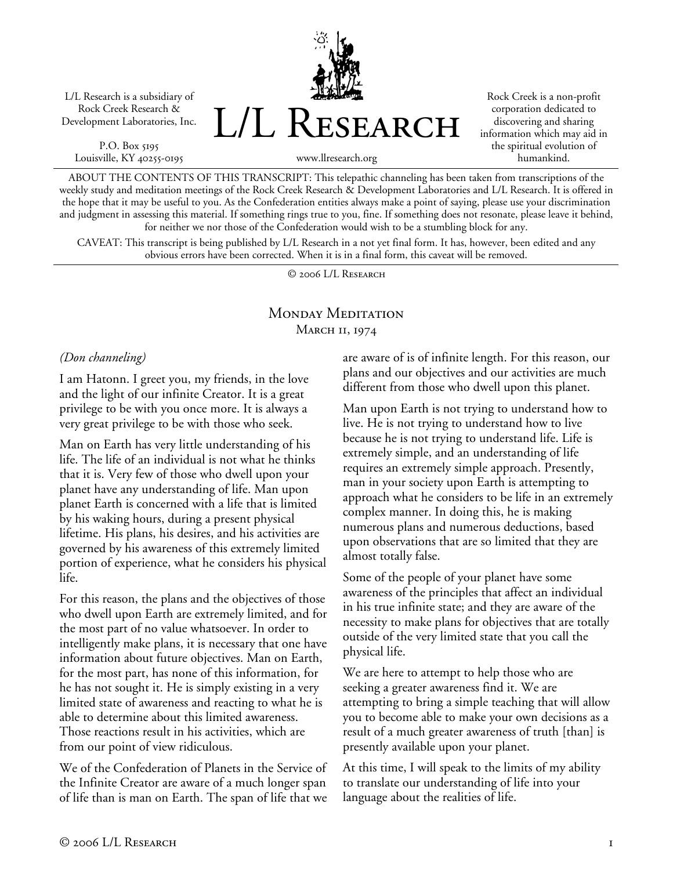L/L Research is a subsidiary of Rock Creek Research & Development Laboratories, Inc.

P.O. Box 5195 Louisville, KY 40255-0195 L/L Research

Rock Creek is a non-profit corporation dedicated to discovering and sharing information which may aid in the spiritual evolution of humankind.

www.llresearch.org

ABOUT THE CONTENTS OF THIS TRANSCRIPT: This telepathic channeling has been taken from transcriptions of the weekly study and meditation meetings of the Rock Creek Research & Development Laboratories and L/L Research. It is offered in the hope that it may be useful to you. As the Confederation entities always make a point of saying, please use your discrimination and judgment in assessing this material. If something rings true to you, fine. If something does not resonate, please leave it behind, for neither we nor those of the Confederation would wish to be a stumbling block for any.

CAVEAT: This transcript is being published by L/L Research in a not yet final form. It has, however, been edited and any obvious errors have been corrected. When it is in a final form, this caveat will be removed.

© 2006 L/L Research

## MONDAY MEDITATION MARCH 11, 1974

## *(Don channeling)*

I am Hatonn. I greet you, my friends, in the love and the light of our infinite Creator. It is a great privilege to be with you once more. It is always a very great privilege to be with those who seek.

Man on Earth has very little understanding of his life. The life of an individual is not what he thinks that it is. Very few of those who dwell upon your planet have any understanding of life. Man upon planet Earth is concerned with a life that is limited by his waking hours, during a present physical lifetime. His plans, his desires, and his activities are governed by his awareness of this extremely limited portion of experience, what he considers his physical life.

For this reason, the plans and the objectives of those who dwell upon Earth are extremely limited, and for the most part of no value whatsoever. In order to intelligently make plans, it is necessary that one have information about future objectives. Man on Earth, for the most part, has none of this information, for he has not sought it. He is simply existing in a very limited state of awareness and reacting to what he is able to determine about this limited awareness. Those reactions result in his activities, which are from our point of view ridiculous.

We of the Confederation of Planets in the Service of the Infinite Creator are aware of a much longer span of life than is man on Earth. The span of life that we are aware of is of infinite length. For this reason, our plans and our objectives and our activities are much different from those who dwell upon this planet.

Man upon Earth is not trying to understand how to live. He is not trying to understand how to live because he is not trying to understand life. Life is extremely simple, and an understanding of life requires an extremely simple approach. Presently, man in your society upon Earth is attempting to approach what he considers to be life in an extremely complex manner. In doing this, he is making numerous plans and numerous deductions, based upon observations that are so limited that they are almost totally false.

Some of the people of your planet have some awareness of the principles that affect an individual in his true infinite state; and they are aware of the necessity to make plans for objectives that are totally outside of the very limited state that you call the physical life.

We are here to attempt to help those who are seeking a greater awareness find it. We are attempting to bring a simple teaching that will allow you to become able to make your own decisions as a result of a much greater awareness of truth [than] is presently available upon your planet.

At this time, I will speak to the limits of my ability to translate our understanding of life into your language about the realities of life.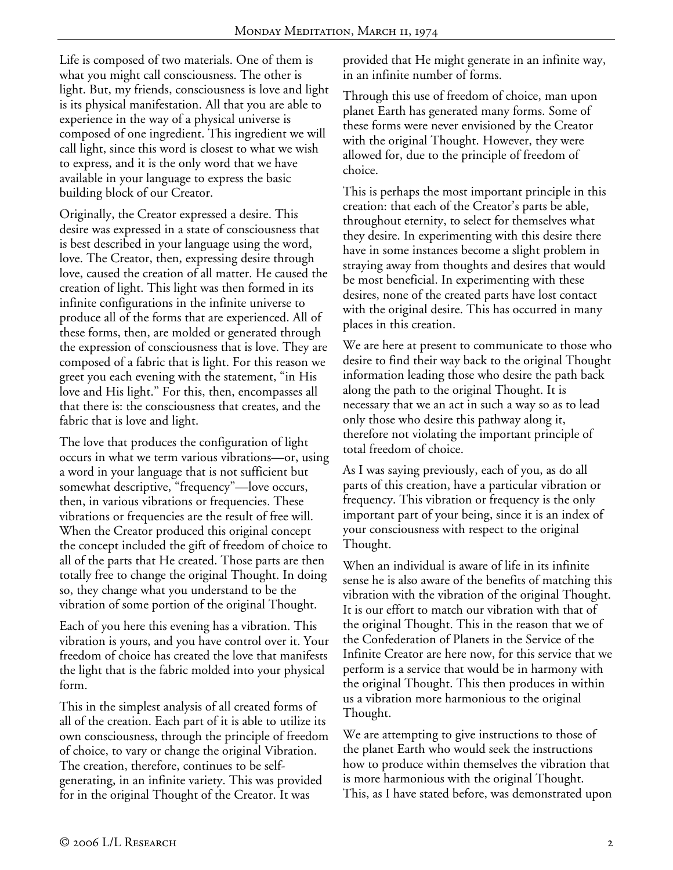Life is composed of two materials. One of them is what you might call consciousness. The other is light. But, my friends, consciousness is love and light is its physical manifestation. All that you are able to experience in the way of a physical universe is composed of one ingredient. This ingredient we will call light, since this word is closest to what we wish to express, and it is the only word that we have available in your language to express the basic building block of our Creator.

Originally, the Creator expressed a desire. This desire was expressed in a state of consciousness that is best described in your language using the word, love. The Creator, then, expressing desire through love, caused the creation of all matter. He caused the creation of light. This light was then formed in its infinite configurations in the infinite universe to produce all of the forms that are experienced. All of these forms, then, are molded or generated through the expression of consciousness that is love. They are composed of a fabric that is light. For this reason we greet you each evening with the statement, "in His love and His light." For this, then, encompasses all that there is: the consciousness that creates, and the fabric that is love and light.

The love that produces the configuration of light occurs in what we term various vibrations—or, using a word in your language that is not sufficient but somewhat descriptive, "frequency"—love occurs, then, in various vibrations or frequencies. These vibrations or frequencies are the result of free will. When the Creator produced this original concept the concept included the gift of freedom of choice to all of the parts that He created. Those parts are then totally free to change the original Thought. In doing so, they change what you understand to be the vibration of some portion of the original Thought.

Each of you here this evening has a vibration. This vibration is yours, and you have control over it. Your freedom of choice has created the love that manifests the light that is the fabric molded into your physical form.

This in the simplest analysis of all created forms of all of the creation. Each part of it is able to utilize its own consciousness, through the principle of freedom of choice, to vary or change the original Vibration. The creation, therefore, continues to be selfgenerating, in an infinite variety. This was provided for in the original Thought of the Creator. It was

provided that He might generate in an infinite way, in an infinite number of forms.

Through this use of freedom of choice, man upon planet Earth has generated many forms. Some of these forms were never envisioned by the Creator with the original Thought. However, they were allowed for, due to the principle of freedom of choice.

This is perhaps the most important principle in this creation: that each of the Creator's parts be able, throughout eternity, to select for themselves what they desire. In experimenting with this desire there have in some instances become a slight problem in straying away from thoughts and desires that would be most beneficial. In experimenting with these desires, none of the created parts have lost contact with the original desire. This has occurred in many places in this creation.

We are here at present to communicate to those who desire to find their way back to the original Thought information leading those who desire the path back along the path to the original Thought. It is necessary that we an act in such a way so as to lead only those who desire this pathway along it, therefore not violating the important principle of total freedom of choice.

As I was saying previously, each of you, as do all parts of this creation, have a particular vibration or frequency. This vibration or frequency is the only important part of your being, since it is an index of your consciousness with respect to the original Thought.

When an individual is aware of life in its infinite sense he is also aware of the benefits of matching this vibration with the vibration of the original Thought. It is our effort to match our vibration with that of the original Thought. This in the reason that we of the Confederation of Planets in the Service of the Infinite Creator are here now, for this service that we perform is a service that would be in harmony with the original Thought. This then produces in within us a vibration more harmonious to the original Thought.

We are attempting to give instructions to those of the planet Earth who would seek the instructions how to produce within themselves the vibration that is more harmonious with the original Thought. This, as I have stated before, was demonstrated upon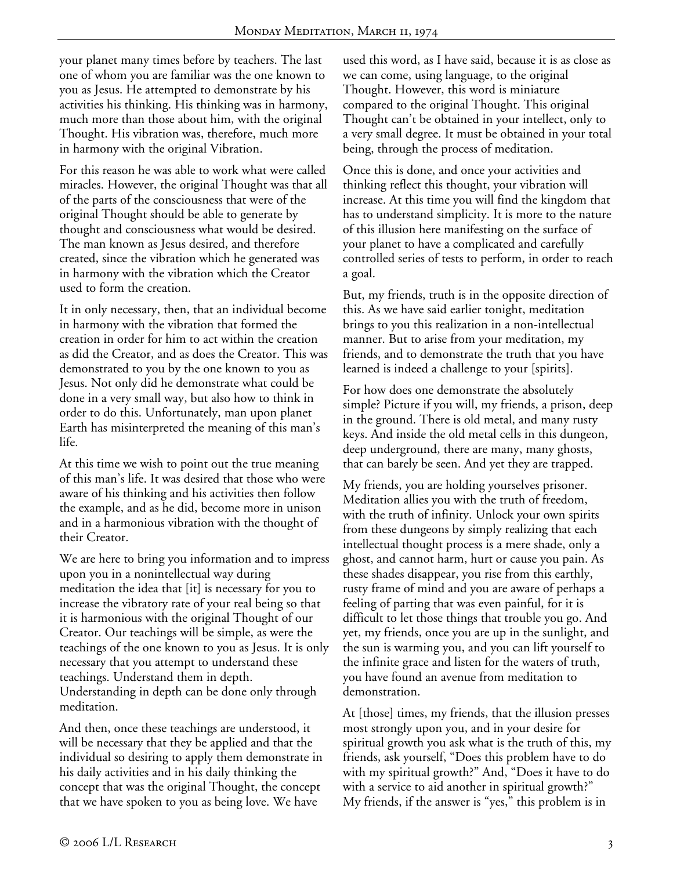your planet many times before by teachers. The last one of whom you are familiar was the one known to you as Jesus. He attempted to demonstrate by his activities his thinking. His thinking was in harmony, much more than those about him, with the original Thought. His vibration was, therefore, much more in harmony with the original Vibration.

For this reason he was able to work what were called miracles. However, the original Thought was that all of the parts of the consciousness that were of the original Thought should be able to generate by thought and consciousness what would be desired. The man known as Jesus desired, and therefore created, since the vibration which he generated was in harmony with the vibration which the Creator used to form the creation.

It in only necessary, then, that an individual become in harmony with the vibration that formed the creation in order for him to act within the creation as did the Creator, and as does the Creator. This was demonstrated to you by the one known to you as Jesus. Not only did he demonstrate what could be done in a very small way, but also how to think in order to do this. Unfortunately, man upon planet Earth has misinterpreted the meaning of this man's life.

At this time we wish to point out the true meaning of this man's life. It was desired that those who were aware of his thinking and his activities then follow the example, and as he did, become more in unison and in a harmonious vibration with the thought of their Creator.

We are here to bring you information and to impress upon you in a nonintellectual way during meditation the idea that [it] is necessary for you to increase the vibratory rate of your real being so that it is harmonious with the original Thought of our Creator. Our teachings will be simple, as were the teachings of the one known to you as Jesus. It is only necessary that you attempt to understand these teachings. Understand them in depth. Understanding in depth can be done only through meditation.

And then, once these teachings are understood, it will be necessary that they be applied and that the individual so desiring to apply them demonstrate in his daily activities and in his daily thinking the concept that was the original Thought, the concept that we have spoken to you as being love. We have

used this word, as I have said, because it is as close as we can come, using language, to the original Thought. However, this word is miniature compared to the original Thought. This original Thought can't be obtained in your intellect, only to a very small degree. It must be obtained in your total being, through the process of meditation.

Once this is done, and once your activities and thinking reflect this thought, your vibration will increase. At this time you will find the kingdom that has to understand simplicity. It is more to the nature of this illusion here manifesting on the surface of your planet to have a complicated and carefully controlled series of tests to perform, in order to reach a goal.

But, my friends, truth is in the opposite direction of this. As we have said earlier tonight, meditation brings to you this realization in a non-intellectual manner. But to arise from your meditation, my friends, and to demonstrate the truth that you have learned is indeed a challenge to your [spirits].

For how does one demonstrate the absolutely simple? Picture if you will, my friends, a prison, deep in the ground. There is old metal, and many rusty keys. And inside the old metal cells in this dungeon, deep underground, there are many, many ghosts, that can barely be seen. And yet they are trapped.

My friends, you are holding yourselves prisoner. Meditation allies you with the truth of freedom, with the truth of infinity. Unlock your own spirits from these dungeons by simply realizing that each intellectual thought process is a mere shade, only a ghost, and cannot harm, hurt or cause you pain. As these shades disappear, you rise from this earthly, rusty frame of mind and you are aware of perhaps a feeling of parting that was even painful, for it is difficult to let those things that trouble you go. And yet, my friends, once you are up in the sunlight, and the sun is warming you, and you can lift yourself to the infinite grace and listen for the waters of truth, you have found an avenue from meditation to demonstration.

At [those] times, my friends, that the illusion presses most strongly upon you, and in your desire for spiritual growth you ask what is the truth of this, my friends, ask yourself, "Does this problem have to do with my spiritual growth?" And, "Does it have to do with a service to aid another in spiritual growth?" My friends, if the answer is "yes," this problem is in